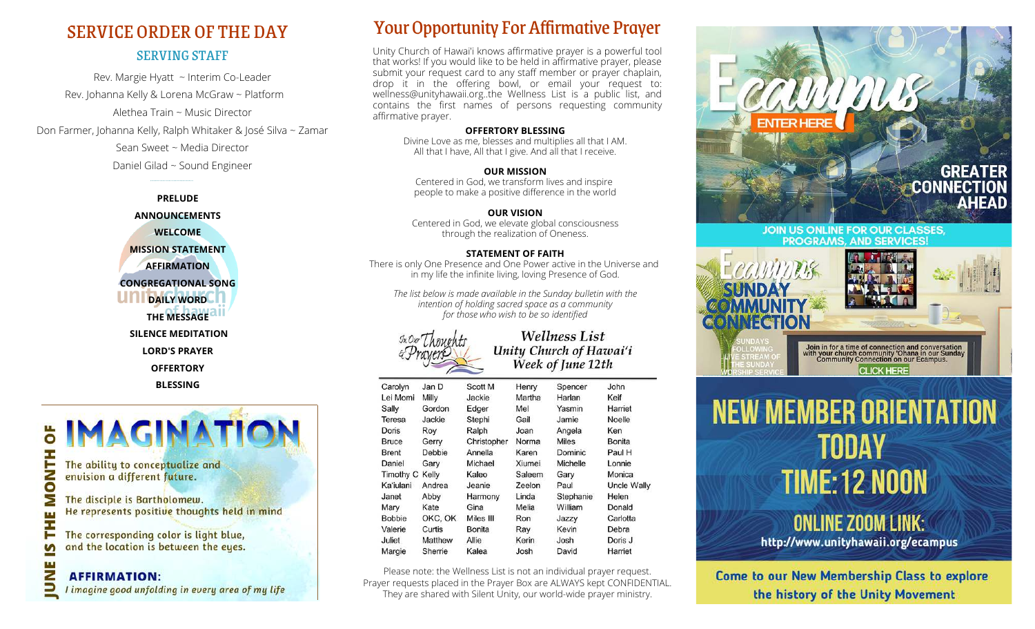## SERVING STAFF SERVICE ORDER OF THE DAY

Rev. Margie Hyatt ~ Interim Co-Leader Rev. Johanna Kelly & Lorena McGraw ~ Platform Alethea Train ~ Music Director Don Farmer, Johanna Kelly, Ralph Whitaker & José Silva ~ Zamar Sean Sweet ~ Media Director Daniel Gilad ~ Sound Engineer





## Your Opportunity For Affirmative Prayer

Unity Church of Hawai'i knows affirmative prayer is a powerful tool that works! If you would like to be held in affirmative prayer, please submit your request card to any staff member or prayer chaplain, drop it in the offering bowl, or email your request to: [wellness@unityhawaii.org..the W](mailto:wellness@unityhawaii.org..the)ellness List is a public list, and contains the first names of persons requesting community affirmative prayer.

#### **OFFERTORY BLESSING**

Divine Love as me, blesses and multiplies all that I AM. All that I have, All that I give. And all that I receive.

**OUR MISSION** Centered in God, we transform lives and inspire people to make a positive difference in the world

#### **OUR VISION**

Centered in God, we elevate global consciousness through the realization of Oneness.

#### **STATEMENT OF FAITH**

There is only One Presence and One Power active in the Universe and in my life the infinite living, loving Presence of God.

*The list below is made available in the Sunday bulletin with the intention of holding sacred space as a community for those who wish to be so identified*



#### **Wellness List** Unity Church of Hawai'i Week of June 12th

| Carolyn       | Jan D   | Scott M       | Henry  | Spencer      | John        |
|---------------|---------|---------------|--------|--------------|-------------|
| Lei Momi      | Milly   | Jackie        | Martha | Harlan       | Keif        |
| Sally         | Gordon  | Edger         | Mel    | Yasmin       | Harriet     |
| Teresa        | Jackie  | Stephi        | Gail   | Jamie        | Noelle      |
| Doris         | Roy     | Ralph         | Joan   | Angela       | Ken         |
| <b>Bruce</b>  | Gerry   | Christopher   | Norma  | <b>Miles</b> | Bonita      |
| <b>Brent</b>  | Debbie  | Annella       | Karen  | Dominic      | Paul H      |
| Daniel        | Gary    | Michael       | Xiumei | Michelle     | Lonnie      |
| Timothy C     | Kelly   | Kaleo         | Saleem | Gary         | Monica      |
| Ka'iulani     | Andrea  | Jeanie        | Zeelon | Paul         | Uncle Wally |
| Janet         | Abby    | Harmony       | Linda  | Stephanie    | Helen       |
| Mary          | Kate    | Gina          | Melia  | William      | Donald      |
| <b>Bobbie</b> | OKC, OK | Miles III     | Ron    | Jazzy        | Carlotta    |
| Valerie       | Curtis  | <b>Bonita</b> | Ray    | Kevin        | Debra       |
| Juliet        | Matthew | Allie         | Kerin  | Josh         | Doris J     |
| Margie        | Sherrie | Kalea         | Josh   | David        | Harriet     |

Please note: the Wellness List is not an individual prayer request. Prayer requests placed in the Prayer Box are ALWAYS kept CONFIDENTIAL. They are shared with Silent Unity, our world-wide prayer ministry.







## **ONLINE ZOOM LINK:** http://www.unityhawaii.org/ecampus

Come to our New Membership Class to explore the history of the Unity Movement